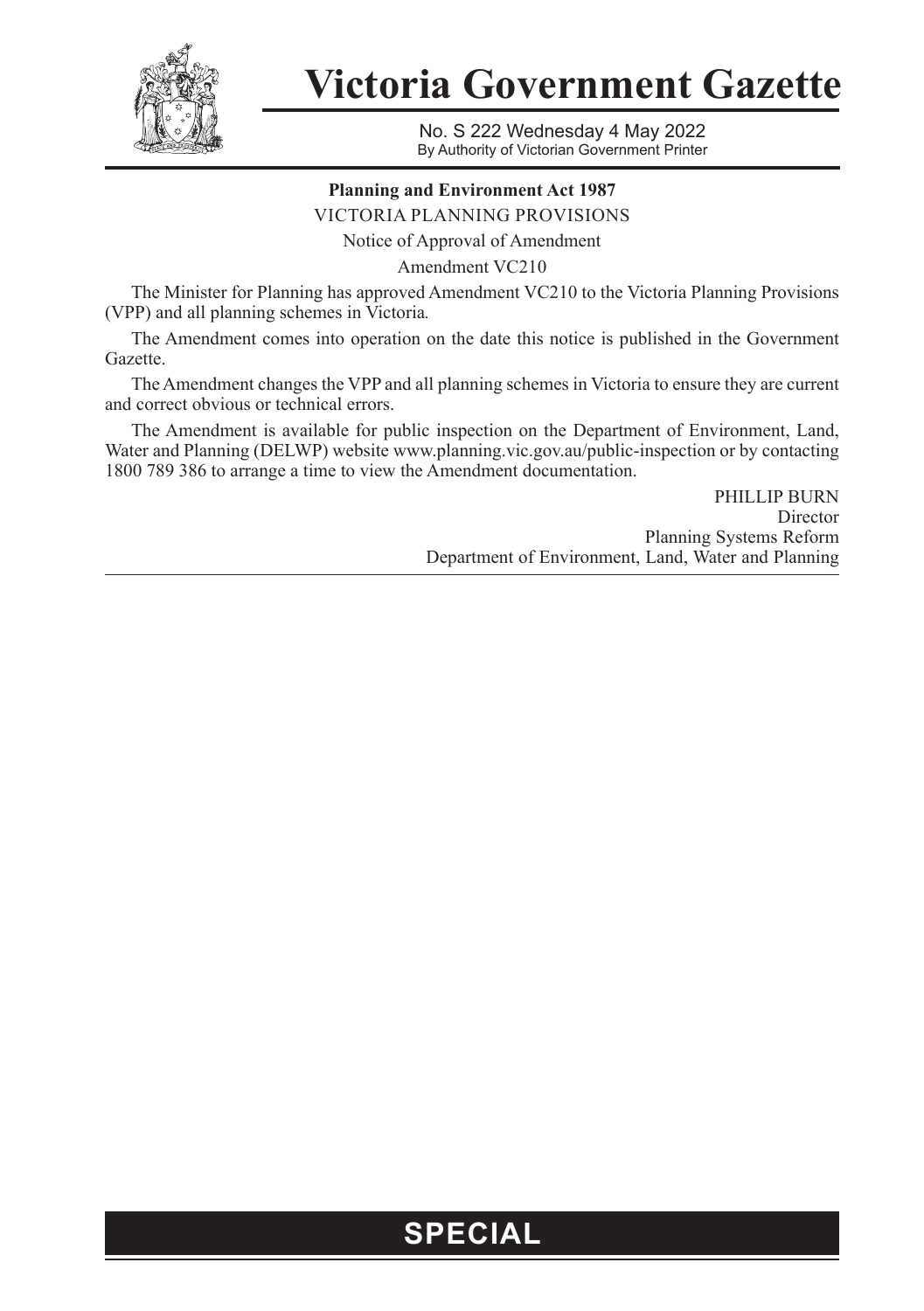

**Victoria Government Gazette**

No. S 222 Wednesday 4 May 2022 By Authority of Victorian Government Printer

## **Planning and Environment Act 1987**

VICTORIA PLANNING PROVISIONS

Notice of Approval of Amendment

Amendment VC210

The Minister for Planning has approved Amendment VC210 to the Victoria Planning Provisions (VPP) and all planning schemes in Victoria*.*

The Amendment comes into operation on the date this notice is published in the Government Gazette.

The Amendment changes the VPP and all planning schemes in Victoria to ensure they are current and correct obvious or technical errors.

The Amendment is available for public inspection on the Department of Environment, Land, Water and Planning (DELWP) website [www.planning.vic.gov.au/public-inspection](http://www.planning.vic.gov.au/public-inspection) or by contacting 1800 789 386 to arrange a time to view the Amendment documentation.

> PHILLIP BURN Director Planning Systems Reform Department of Environment, Land, Water and Planning

## **SPECIAL**